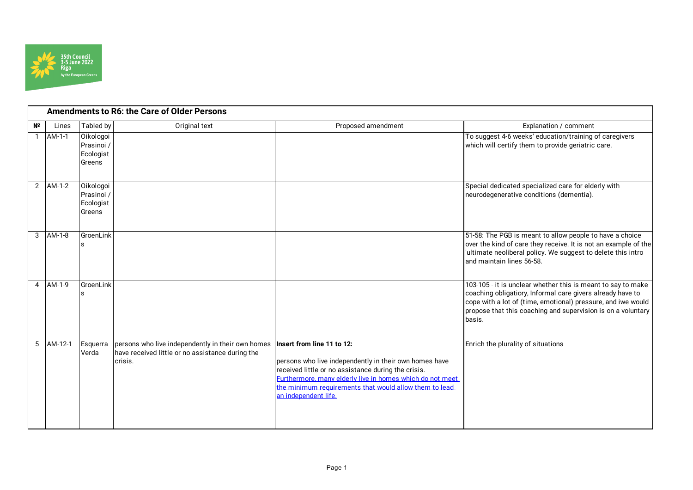

|    | <b>Amendments to R6: the Care of Older Persons</b> |                                                |                                                                                                                  |                                                                                                                                                                                                                                                                                            |                                                                                                                                                                                                                                                                      |  |  |
|----|----------------------------------------------------|------------------------------------------------|------------------------------------------------------------------------------------------------------------------|--------------------------------------------------------------------------------------------------------------------------------------------------------------------------------------------------------------------------------------------------------------------------------------------|----------------------------------------------------------------------------------------------------------------------------------------------------------------------------------------------------------------------------------------------------------------------|--|--|
| Nº | Lines                                              | Tabled by                                      | Original text                                                                                                    | Proposed amendment                                                                                                                                                                                                                                                                         | Explanation / comment                                                                                                                                                                                                                                                |  |  |
|    | $1$ AM-1-1                                         | Oikologoi<br>Prasinoi /<br>Ecologist<br>Greens |                                                                                                                  |                                                                                                                                                                                                                                                                                            | To suggest 4-6 weeks' education/training of caregivers<br>which will certify them to provide geriatric care.                                                                                                                                                         |  |  |
|    | $2$ $AM-1-2$                                       | Oikologoi<br>Prasinoi /<br>Ecologist<br>Greens |                                                                                                                  |                                                                                                                                                                                                                                                                                            | Special dedicated specialized care for elderly with<br>neurodegenerative conditions (dementia).                                                                                                                                                                      |  |  |
|    | 3 AM-1-8                                           | GroenLink                                      |                                                                                                                  |                                                                                                                                                                                                                                                                                            | 51-58: The PGB is meant to allow people to have a choice<br>over the kind of care they receive. It is not an example of the<br>'ultimate neoliberal policy. We suggest to delete this intro<br>and maintain lines 56-58.                                             |  |  |
|    | 4 AM-1-9                                           | GroenLink                                      |                                                                                                                  |                                                                                                                                                                                                                                                                                            | 103-105 - it is unclear whether this is meant to say to make<br>coaching obligatiory, Informal care givers already have to<br>cope with a lot of (time, emotional) pressure, and iwe would<br>propose that this coaching and supervision is on a voluntary<br>basis. |  |  |
|    | $5$ AM-12-1                                        | Esquerra<br>Verda                              | persons who live independently in their own homes<br>have received little or no assistance during the<br>crisis. | Insert from line 11 to 12:<br>persons who live independently in their own homes have<br>received little or no assistance during the crisis.<br>Furthermore, many elderly live in homes which do not meet<br>the minimum requirements that would allow them to lead<br>an independent life. | Enrich the plurality of situations                                                                                                                                                                                                                                   |  |  |

Page 1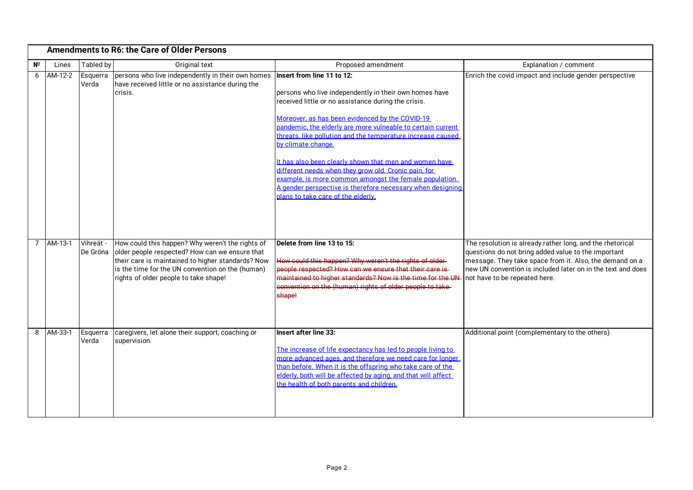|    | <b>Amendments to R6: the Care of Older Persons</b> |                       |                                                                                                                                                                                                                                                      |                                                                                                                                                                                                                                                                                                                                                                                                                                                                                                                                                                                                                                    |                                                                                                                                                                                                                                                                             |  |
|----|----------------------------------------------------|-----------------------|------------------------------------------------------------------------------------------------------------------------------------------------------------------------------------------------------------------------------------------------------|------------------------------------------------------------------------------------------------------------------------------------------------------------------------------------------------------------------------------------------------------------------------------------------------------------------------------------------------------------------------------------------------------------------------------------------------------------------------------------------------------------------------------------------------------------------------------------------------------------------------------------|-----------------------------------------------------------------------------------------------------------------------------------------------------------------------------------------------------------------------------------------------------------------------------|--|
| Nº | Lines                                              | Tabled by             | Original text                                                                                                                                                                                                                                        | Proposed amendment                                                                                                                                                                                                                                                                                                                                                                                                                                                                                                                                                                                                                 | Explanation / comment                                                                                                                                                                                                                                                       |  |
| 6  | AM-12-2                                            | Esquerra<br>Verda     | persons who live independently in their own homes<br>have received little or no assistance during the<br>crisis.                                                                                                                                     | Insert from line 11 to 12:<br>persons who live independently in their own homes have<br>received little or no assistance during the crisis.<br>Moreover, as has been evidenced by the COVID-19<br>pandemic, the elderly are more vulneable to certain current<br>threats, like pollution and the temperature increase caused<br>by climate change.<br>It has also been clearly shown that men and women have<br>different needs when they grow old. Cronic pain, for<br>example, is more common amongst the female population.<br>A gender perspective is therefore necessary when designing<br>plans to take care of the elderly. | Enrich the covid impact and include gender perspective                                                                                                                                                                                                                      |  |
|    | 7 AM-13-1                                          | Vihreät -<br>De Gröna | How could this happen? Why weren't the rights of<br>older people respected? How can we ensure that<br>their care is maintained to higher standards? Now<br>is the time for the UN convention on the (human)<br>rights of older people to take shape! | Delete from line 13 to 15:<br>How could this happen? Why weren't the rights of older-<br>people respected? How can we ensure that their care is<br>maintained to higher standards? Now is the time for the UN-<br>convention on the (human) rights of older people to take<br><b>shape!</b>                                                                                                                                                                                                                                                                                                                                        | The resolution is already rather long, and the rhetorical<br>questions do not bring added value to the important<br>message. They take space from it. Also, the demand on a<br>new UN convention is included later on in the text and does<br>not have to be repeated here. |  |
|    | 8 AM-33-1                                          | Esquerra<br>Verda     | caregivers, let alone their support, coaching or<br>supervision.                                                                                                                                                                                     | <b>Insert after line 33:</b><br>The increase of life expectancy has led to people living to<br>more advanced ages, and therefore we need care for longer<br>than before. When it is the offspring who take care of the<br>elderly, both will be affected by aging, and that will affect<br>the health of both parents and children.                                                                                                                                                                                                                                                                                                | Additional point (complementary to the others)                                                                                                                                                                                                                              |  |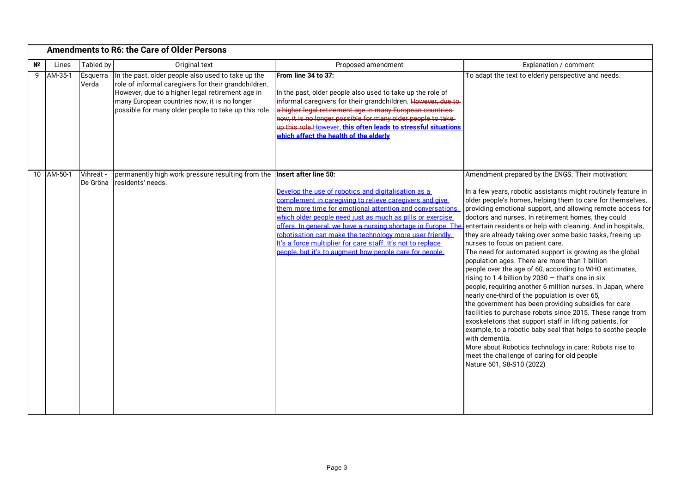|                 | <b>Amendments to R6: the Care of Older Persons</b> |                       |                                                                                                                                                                                                                                                                        |                                                                                                                                                                                                                                                                                                                                                                                                                                                                                                                                                                                      |                                                                                                                                                                                                                                                                                                                                                                                                                                                                                                                                                                                                                                                                                                                                                                                                                                                                                                                                                                                                                                                                                                                                                                 |  |  |
|-----------------|----------------------------------------------------|-----------------------|------------------------------------------------------------------------------------------------------------------------------------------------------------------------------------------------------------------------------------------------------------------------|--------------------------------------------------------------------------------------------------------------------------------------------------------------------------------------------------------------------------------------------------------------------------------------------------------------------------------------------------------------------------------------------------------------------------------------------------------------------------------------------------------------------------------------------------------------------------------------|-----------------------------------------------------------------------------------------------------------------------------------------------------------------------------------------------------------------------------------------------------------------------------------------------------------------------------------------------------------------------------------------------------------------------------------------------------------------------------------------------------------------------------------------------------------------------------------------------------------------------------------------------------------------------------------------------------------------------------------------------------------------------------------------------------------------------------------------------------------------------------------------------------------------------------------------------------------------------------------------------------------------------------------------------------------------------------------------------------------------------------------------------------------------|--|--|
| N <sup>2</sup>  | Lines                                              | Tabled by             | Original text                                                                                                                                                                                                                                                          | Proposed amendment                                                                                                                                                                                                                                                                                                                                                                                                                                                                                                                                                                   | Explanation / comment                                                                                                                                                                                                                                                                                                                                                                                                                                                                                                                                                                                                                                                                                                                                                                                                                                                                                                                                                                                                                                                                                                                                           |  |  |
| 9               | AM-35-1                                            | Esquerra<br>Verda     | In the past, older people also used to take up the<br>role of informal caregivers for their grandchildren.<br>However, due to a higher legal retirement age in<br>many European countries now, it is no longer<br>possible for many older people to take up this role. | From line 34 to 37:<br>In the past, older people also used to take up the role of<br>informal caregivers for their grandchildren. However, due to-<br>a higher legal retirement age in many European countries-<br>now, it is no longer possible for many older people to take-<br>up this role. However, this often leads to stressful situations<br>which affect the health of the elderly                                                                                                                                                                                         | To adapt the text to elderly perspective and needs.                                                                                                                                                                                                                                                                                                                                                                                                                                                                                                                                                                                                                                                                                                                                                                                                                                                                                                                                                                                                                                                                                                             |  |  |
| 10 <sup>°</sup> | AM-50-1                                            | Vihreät -<br>De Gröna | permanently high work pressure resulting from the<br>residents' needs.                                                                                                                                                                                                 | Insert after line 50:<br>Develop the use of robotics and digitalisation as a<br>complement in caregiving to relieve caregivers and give<br>them more time for emotional attention and conversations<br>which older people need just as much as pills or exercise<br>offers. In general, we have a nursing shortage in Europe. The entertain residents or help with cleaning. And in hospitals,<br>robotisation can make the technology more user-friendly.<br>It's a force multiplier for care staff. It's not to replace<br>people, but it's to augment how people care for people. | Amendment prepared by the ENGS. Their motivation:<br>In a few years, robotic assistants might routinely feature in<br>older people's homes, helping them to care for themselves,<br>providing emotional support, and allowing remote access for<br>doctors and nurses. In retirement homes, they could<br>they are already taking over some basic tasks, freeing up<br>nurses to focus on patient care.<br>The need for automated support is growing as the global<br>population ages. There are more than 1 billion<br>people over the age of 60, according to WHO estimates,<br>rising to 1.4 billion by $2030 -$ that's one in six<br>people, requiring another 6 million nurses. In Japan, where<br>nearly one-third of the population is over 65,<br>the government has been providing subsidies for care<br>facilities to purchase robots since 2015. These range from<br>exoskeletons that support staff in lifting patients, for<br>example, to a robotic baby seal that helps to soothe people<br>with dementia.<br>More about Robotics technology in care: Robots rise to<br>meet the challenge of caring for old people<br>Nature 601, S8-S10 (2022) |  |  |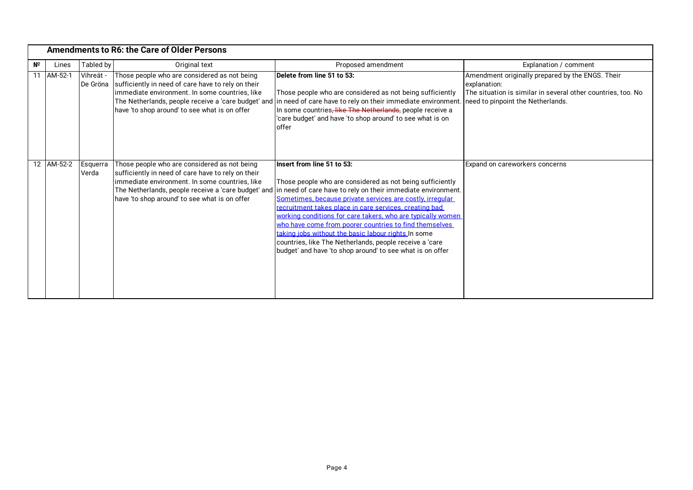|    | <b>Amendments to R6: the Care of Older Persons</b> |                       |                                                                                                                                                                                                       |                                                                                                                                                                                                                                                                                                                                                                                                                                                                                                                                                                                                                                            |                                                                                                                                  |  |
|----|----------------------------------------------------|-----------------------|-------------------------------------------------------------------------------------------------------------------------------------------------------------------------------------------------------|--------------------------------------------------------------------------------------------------------------------------------------------------------------------------------------------------------------------------------------------------------------------------------------------------------------------------------------------------------------------------------------------------------------------------------------------------------------------------------------------------------------------------------------------------------------------------------------------------------------------------------------------|----------------------------------------------------------------------------------------------------------------------------------|--|
| NΩ | Lines                                              | Tabled by             | Original text                                                                                                                                                                                         | Proposed amendment                                                                                                                                                                                                                                                                                                                                                                                                                                                                                                                                                                                                                         | Explanation / comment                                                                                                            |  |
| 11 | AM-52-1                                            | Vihreät -<br>De Gröna | Those people who are considered as not being<br>sufficiently in need of care have to rely on their<br>immediate environment. In some countries, like<br>have 'to shop around' to see what is on offer | Delete from line 51 to 53:<br>Those people who are considered as not being sufficiently<br>The Netherlands, people receive a 'care budget' and in need of care have to rely on their immediate environment. Ineed to pinpoint the Netherlands.<br>In some countries, like The Netherlands, people receive a<br>'care budget' and have 'to shop around' to see what is on<br>offer                                                                                                                                                                                                                                                          | Amendment originally prepared by the ENGS. Their<br>explanation:<br>The situation is similar in several other countries, too. No |  |
|    | 12 AM-52-2                                         | Esquerra<br>Verda     | Those people who are considered as not being<br>sufficiently in need of care have to rely on their<br>immediate environment. In some countries, like<br>have 'to shop around' to see what is on offer | Insert from line 51 to 53:<br>Those people who are considered as not being sufficiently<br>The Netherlands, people receive a 'care budget' and in need of care have to rely on their immediate environment.<br>Sometimes, because private services are costly, irregular<br>recruitment takes place in care services, creating bad<br>working conditions for care takers, who are typically women<br>who have come from poorer countries to find themselves<br>taking jobs without the basic labour rights In some<br>countries, like The Netherlands, people receive a 'care<br>budget' and have 'to shop around' to see what is on offer | Expand on careworkers concerns                                                                                                   |  |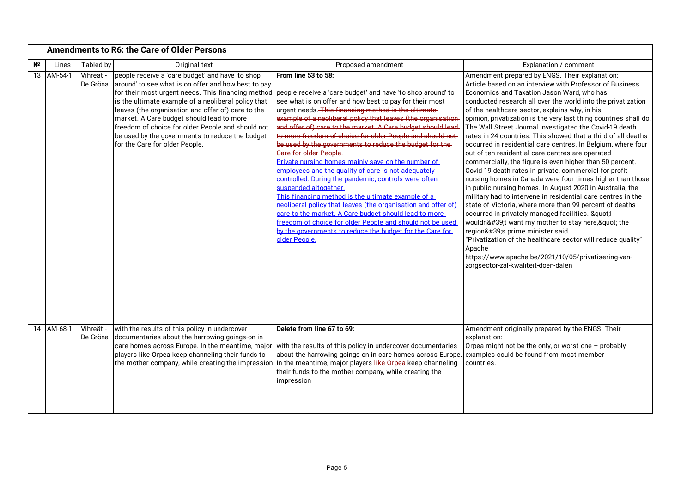|                | <b>Amendments to R6: the Care of Older Persons</b> |                       |                                                                                                                                                                                                                                                                                                                                                                                                                                                                   |                                                                                                                                                                                                                                                                                                                                                                                                                                                                                                                                                                                                                                                                                                                                                                                                                                                                                                                                                                                                                 |                                                                                                                                                                                                                                                                                                                                                                                                                                                                                                                                                                                                                                                                                                                                                                                                                                                                                                                                                                                                                                                                                                                                                                                                                                                                                   |  |
|----------------|----------------------------------------------------|-----------------------|-------------------------------------------------------------------------------------------------------------------------------------------------------------------------------------------------------------------------------------------------------------------------------------------------------------------------------------------------------------------------------------------------------------------------------------------------------------------|-----------------------------------------------------------------------------------------------------------------------------------------------------------------------------------------------------------------------------------------------------------------------------------------------------------------------------------------------------------------------------------------------------------------------------------------------------------------------------------------------------------------------------------------------------------------------------------------------------------------------------------------------------------------------------------------------------------------------------------------------------------------------------------------------------------------------------------------------------------------------------------------------------------------------------------------------------------------------------------------------------------------|-----------------------------------------------------------------------------------------------------------------------------------------------------------------------------------------------------------------------------------------------------------------------------------------------------------------------------------------------------------------------------------------------------------------------------------------------------------------------------------------------------------------------------------------------------------------------------------------------------------------------------------------------------------------------------------------------------------------------------------------------------------------------------------------------------------------------------------------------------------------------------------------------------------------------------------------------------------------------------------------------------------------------------------------------------------------------------------------------------------------------------------------------------------------------------------------------------------------------------------------------------------------------------------|--|
| N <sup>2</sup> | Lines                                              | Tabled by             | Original text                                                                                                                                                                                                                                                                                                                                                                                                                                                     | Proposed amendment                                                                                                                                                                                                                                                                                                                                                                                                                                                                                                                                                                                                                                                                                                                                                                                                                                                                                                                                                                                              | Explanation / comment                                                                                                                                                                                                                                                                                                                                                                                                                                                                                                                                                                                                                                                                                                                                                                                                                                                                                                                                                                                                                                                                                                                                                                                                                                                             |  |
|                | 13 AM-54-1                                         | Vihreät -<br>De Gröna | people receive a 'care budget' and have 'to shop<br>around' to see what is on offer and how best to pay<br>for their most urgent needs. This financing method<br>is the ultimate example of a neoliberal policy that<br>leaves (the organisation and offer of) care to the<br>market. A Care budget should lead to more<br>freedom of choice for older People and should not<br>be used by the governments to reduce the budget<br>for the Care for older People. | From line 53 to 58:<br>people receive a 'care budget' and have 'to shop around' to<br>see what is on offer and how best to pay for their most<br>urgent needs. This financing method is the ultimate-<br>example of a neoliberal policy that leaves (the organisation<br>and offer of) care to the market. A Care budget should lead<br>to more freedom of choice for older People and should not<br>be used by the governments to reduce the budget for the-<br>Care for older People.<br>Private nursing homes mainly save on the number of<br>employees and the quality of care is not adequately<br>controlled. During the pandemic, controls were often<br>suspended altogether.<br>This financing method is the ultimate example of a<br>neoliberal policy that leaves (the organisation and offer of)<br>care to the market. A Care budget should lead to more<br>freedom of choice for older People and should not be used<br>by the governments to reduce the budget for the Care for<br>older People. | Amendment prepared by ENGS. Their explanation:<br>Article based on an interview with Professor of Business<br>Economics and Taxation Jason Ward, who has<br>conducted research all over the world into the privatization<br>of the healthcare sector, explains why, in his<br>opinion, privatization is the very last thing countries shall do.<br>The Wall Street Journal investigated the Covid-19 death<br>rates in 24 countries. This showed that a third of all deaths<br>occurred in residential care centres. In Belgium, where four<br>out of ten residential care centres are operated<br>commercially, the figure is even higher than 50 percent.<br>Covid-19 death rates in private, commercial for-profit<br>nursing homes in Canada were four times higher than those<br>in public nursing homes. In August 2020 in Australia, the<br>military had to intervene in residential care centres in the<br>state of Victoria, where more than 99 percent of deaths<br>occurred in privately managed facilities. " <br>wouldn't want my mother to stay here," the<br>region's prime minister said.<br>"Privatization of the healthcare sector will reduce quality"<br>Apache<br>https://www.apache.be/2021/10/05/privatisering-van-<br>zorgsector-zal-kwaliteit-doen-dalen |  |
|                | 14 AM-68-1                                         | Vihreät -<br>De Gröna | with the results of this policy in undercover<br>documentaries about the harrowing goings-on in<br>care homes across Europe. In the meantime, major<br>players like Orpea keep channeling their funds to<br>the mother company, while creating the impression                                                                                                                                                                                                     | Delete from line 67 to 69:<br>with the results of this policy in undercover documentaries<br>about the harrowing goings-on in care homes across Europe.<br>In the meantime, major players like Orpea-keep channeling<br>their funds to the mother company, while creating the<br>impression                                                                                                                                                                                                                                                                                                                                                                                                                                                                                                                                                                                                                                                                                                                     | Amendment originally prepared by the ENGS. Their<br>explanation:<br>Orpea might not be the only, or worst one - probably<br>examples could be found from most member<br>countries.                                                                                                                                                                                                                                                                                                                                                                                                                                                                                                                                                                                                                                                                                                                                                                                                                                                                                                                                                                                                                                                                                                |  |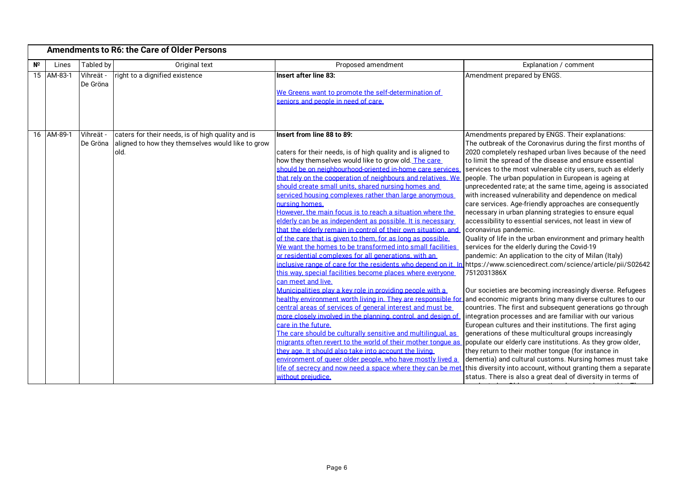|             |                          |                                    | <b>Amendments to R6: the Care of Older Persons</b>                                                             |                                                                                                                                                                                                                                                                                                                                                                                                                                                                                                                                                                                                                                                                                                                                                                                                                                                                                                                                                                                                                                                                                                                                                                                                                                                                                                                                                                                                                           |                                                                                                                                                                                                                                                                                                                                                                                                                                                                                                                                                                                                                                                                                                                                                                                                                                                                                                                                                                                                                                                                                                                                                                                                                                                                                                                                                                                                                                                                                                                                                                                                                                                                                                                     |
|-------------|--------------------------|------------------------------------|----------------------------------------------------------------------------------------------------------------|---------------------------------------------------------------------------------------------------------------------------------------------------------------------------------------------------------------------------------------------------------------------------------------------------------------------------------------------------------------------------------------------------------------------------------------------------------------------------------------------------------------------------------------------------------------------------------------------------------------------------------------------------------------------------------------------------------------------------------------------------------------------------------------------------------------------------------------------------------------------------------------------------------------------------------------------------------------------------------------------------------------------------------------------------------------------------------------------------------------------------------------------------------------------------------------------------------------------------------------------------------------------------------------------------------------------------------------------------------------------------------------------------------------------------|---------------------------------------------------------------------------------------------------------------------------------------------------------------------------------------------------------------------------------------------------------------------------------------------------------------------------------------------------------------------------------------------------------------------------------------------------------------------------------------------------------------------------------------------------------------------------------------------------------------------------------------------------------------------------------------------------------------------------------------------------------------------------------------------------------------------------------------------------------------------------------------------------------------------------------------------------------------------------------------------------------------------------------------------------------------------------------------------------------------------------------------------------------------------------------------------------------------------------------------------------------------------------------------------------------------------------------------------------------------------------------------------------------------------------------------------------------------------------------------------------------------------------------------------------------------------------------------------------------------------------------------------------------------------------------------------------------------------|
| $N^{\circ}$ | Lines                    | Tabled by                          | Original text                                                                                                  | Proposed amendment                                                                                                                                                                                                                                                                                                                                                                                                                                                                                                                                                                                                                                                                                                                                                                                                                                                                                                                                                                                                                                                                                                                                                                                                                                                                                                                                                                                                        | Explanation / comment                                                                                                                                                                                                                                                                                                                                                                                                                                                                                                                                                                                                                                                                                                                                                                                                                                                                                                                                                                                                                                                                                                                                                                                                                                                                                                                                                                                                                                                                                                                                                                                                                                                                                               |
|             | 15 AM-83-1<br>16 AM-89-1 | Vihreät -<br>De Gröna<br>Vihreät - | right to a dignified existence                                                                                 | <b>Insert after line 83:</b><br>We Greens want to promote the self-determination of<br>seniors and people in need of care.<br>Insert from line 88 to 89:                                                                                                                                                                                                                                                                                                                                                                                                                                                                                                                                                                                                                                                                                                                                                                                                                                                                                                                                                                                                                                                                                                                                                                                                                                                                  | Amendment prepared by ENGS.<br>Amendments prepared by ENGS. Their explanations:                                                                                                                                                                                                                                                                                                                                                                                                                                                                                                                                                                                                                                                                                                                                                                                                                                                                                                                                                                                                                                                                                                                                                                                                                                                                                                                                                                                                                                                                                                                                                                                                                                     |
|             |                          | De Gröna                           | caters for their needs, is of high quality and is<br>aligned to how they themselves would like to grow<br>old. | caters for their needs, is of high quality and is aligned to<br>how they themselves would like to grow old. The care<br>should be on neighbourhood-oriented in-home care services<br>that rely on the cooperation of neighbours and relatives. We<br>should create small units, shared nursing homes and<br>serviced housing complexes rather than large anonymous<br>nursing homes.<br>However, the main focus is to reach a situation where the<br>elderly can be as independent as possible. It is necessary<br>that the elderly remain in control of their own situation, and<br>of the care that is given to them, for as long as possible.<br>We want the homes to be transformed into small facilities<br>or residential complexes for all generations, with an<br>this way, special facilities become places where everyone<br>can meet and live.<br>Municipalities play a key role in providing people with a<br>healthy environment worth living in. They are responsible for<br>central areas of services of general interest and must be<br>more closely involved in the planning, control, and design of<br>care in the future.<br>The care should be culturally sensitive and multilingual, as<br>migrants often revert to the world of their mother tonque as<br>they age. It should also take into account the living<br>environment of queer older people, who have mostly lived a<br>without prejudice. | The outbreak of the Coronavirus during the first months of<br>2020 completely reshaped urban lives because of the need<br>to limit the spread of the disease and ensure essential<br>services to the most vulnerable city users, such as elderly<br>people. The urban population in European is ageing at<br>unprecedented rate; at the same time, ageing is associated<br>with increased vulnerability and dependence on medical<br>care services. Age-friendly approaches are consequently<br>necessary in urban planning strategies to ensure equal<br>accessibility to essential services, not least in view of<br>coronavirus pandemic.<br>Quality of life in the urban environment and primary health<br>services for the elderly during the Covid-19<br>pandemic: An application to the city of Milan (Italy)<br>inclusive range of care for the residents who depend on it. In https://www.sciencedirect.com/science/article/pii/S02642<br>7512031386X<br>Our societies are becoming increasingly diverse. Refugees<br>and economic migrants bring many diverse cultures to our<br>countries. The first and subsequent generations go through<br>integration processes and are familiar with our various<br>European cultures and their institutions. The first aging<br>generations of these multicultural groups increasingly<br>populate our elderly care institutions. As they grow older,<br>they return to their mother tongue (for instance in<br>dementia) and cultural customs. Nursing homes must take<br>life of secrecy and now need a space where they can be met this diversity into account, without granting them a separate<br>status. There is also a great deal of diversity in terms of |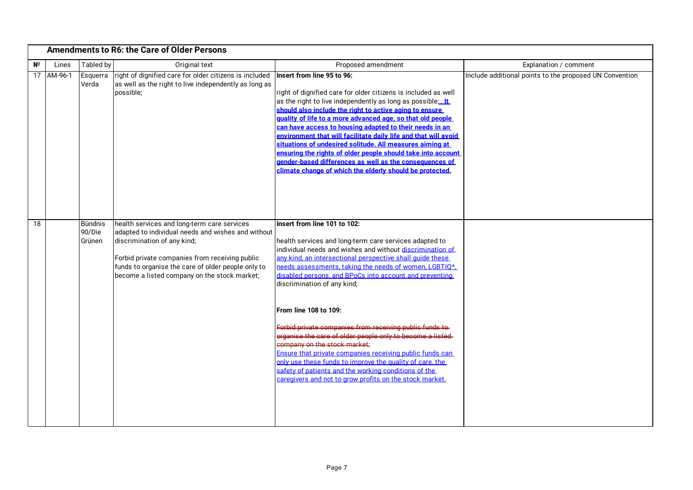|             | <b>Amendments to R6: the Care of Older Persons</b> |                                    |                                                                                                                                                                                                                                                                                          |                                                                                                                                                                                                                                                                                                                                                                                                                                                                                                                                                                                                                                                                                                                                                                                                   |                                                         |  |
|-------------|----------------------------------------------------|------------------------------------|------------------------------------------------------------------------------------------------------------------------------------------------------------------------------------------------------------------------------------------------------------------------------------------|---------------------------------------------------------------------------------------------------------------------------------------------------------------------------------------------------------------------------------------------------------------------------------------------------------------------------------------------------------------------------------------------------------------------------------------------------------------------------------------------------------------------------------------------------------------------------------------------------------------------------------------------------------------------------------------------------------------------------------------------------------------------------------------------------|---------------------------------------------------------|--|
| $N^{\circ}$ | Lines                                              | Tabled by                          | Original text                                                                                                                                                                                                                                                                            | Proposed amendment                                                                                                                                                                                                                                                                                                                                                                                                                                                                                                                                                                                                                                                                                                                                                                                | Explanation / comment                                   |  |
|             | 17 AM-96-1                                         | Esquerra<br>Verda                  | right of dignified care for older citizens is included<br>as well as the right to live independently as long as<br>possible;                                                                                                                                                             | Insert from line 95 to 96:<br>right of dignified care for older citizens is included as well<br>as the right to live independently as long as possible; It<br>should also include the right to active aging to ensure<br>quality of life to a more advanced age, so that old people<br>can have access to housing adapted to their needs in an<br>environment that will facilitate daily life and that will avoid<br>situations of undesired solitude. All measures aiming at<br>ensuring the rights of older people should take into account<br>gender-based differences as well as the consequences of<br>climate change of which the elderly should be protected.                                                                                                                              | Include additional points to the proposed UN Convention |  |
| 18          |                                                    | <b>Bündnis</b><br>90/Die<br>Grünen | health services and long-term care services<br>adapted to individual needs and wishes and without<br>discrimination of any kind;<br>Forbid private companies from receiving public<br>funds to organise the care of older people only to<br>become a listed company on the stock market; | Insert from line 101 to 102:<br>health services and long-term care services adapted to<br>individual needs and wishes and without discrimination of<br>any kind, an intersectional perspective shall quide these<br>needs assessments, taking the needs of women, LGBTIO*.<br>disabled persons, and BPoCs into account and preventing<br>discrimination of any kind;<br>From line 108 to 109:<br>Forbid private companies from receiving public funds to<br>organise the care of older people only to become a listed-<br>company on the stock market:<br>Ensure that private companies receiving public funds can<br>only use these funds to improve the quality of care, the<br>safety of patients and the working conditions of the<br>caregivers and not to grow profits on the stock market. |                                                         |  |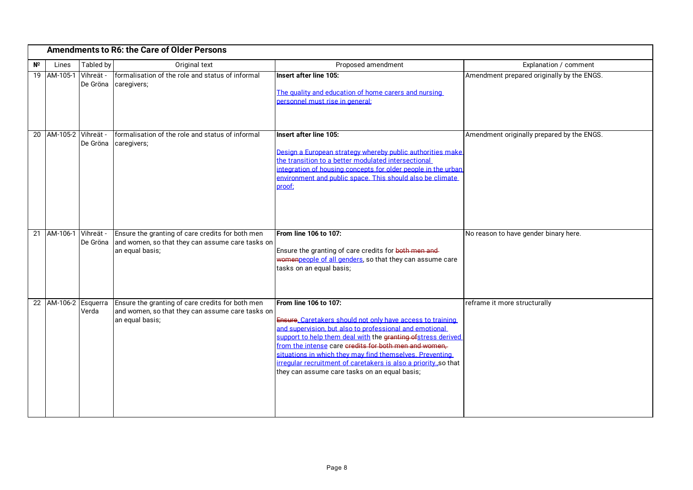|    | <b>Amendments to R6: the Care of Older Persons</b> |                       |                                                                                                                         |                                                                                                                                                                                                                                                                                                                                                                                                                                                        |                                            |  |  |
|----|----------------------------------------------------|-----------------------|-------------------------------------------------------------------------------------------------------------------------|--------------------------------------------------------------------------------------------------------------------------------------------------------------------------------------------------------------------------------------------------------------------------------------------------------------------------------------------------------------------------------------------------------------------------------------------------------|--------------------------------------------|--|--|
| Nº | Lines                                              | Tabled by             | Original text                                                                                                           | Proposed amendment                                                                                                                                                                                                                                                                                                                                                                                                                                     | Explanation / comment                      |  |  |
|    | 19 AM-105-1                                        | Vihreät -<br>De Gröna | formalisation of the role and status of informal<br>caregivers;                                                         | Insert after line 105:<br>The quality and education of home carers and nursing<br>personnel must rise in general:                                                                                                                                                                                                                                                                                                                                      | Amendment prepared originally by the ENGS. |  |  |
|    | 20 AM-105-2 Vihreät -                              | De Gröna              | formalisation of the role and status of informal<br>caregivers;                                                         | Insert after line 105:<br>Design a European strategy whereby public authorities make<br>the transition to a better modulated intersectional<br>integration of housing concepts for older people in the urban<br>environment and public space. This should also be climate<br>proof:                                                                                                                                                                    | Amendment originally prepared by the ENGS. |  |  |
|    | 21 AM-106-1 Vihreät -                              | De Gröna              | Ensure the granting of care credits for both men<br>and women, so that they can assume care tasks on<br>an equal basis; | From line 106 to 107:<br>Ensure the granting of care credits for both men and-<br>womenpeople of all genders, so that they can assume care<br>tasks on an equal basis;                                                                                                                                                                                                                                                                                 | No reason to have gender binary here.      |  |  |
|    | 22 AM-106-2 Esquerra                               | Verda                 | Ensure the granting of care credits for both men<br>and women, so that they can assume care tasks on<br>an equal basis; | From line 106 to 107:<br>Ensure, Caretakers should not only have access to training<br>and supervision, but also to professional and emotional<br>support to help them deal with the granting of stress derived<br>from the intense care credits for both men and women,<br>situations in which they may find themselves. Preventing<br>irregular recruitment of caretakers is also a priorityso that<br>they can assume care tasks on an equal basis; | reframe it more structurally               |  |  |